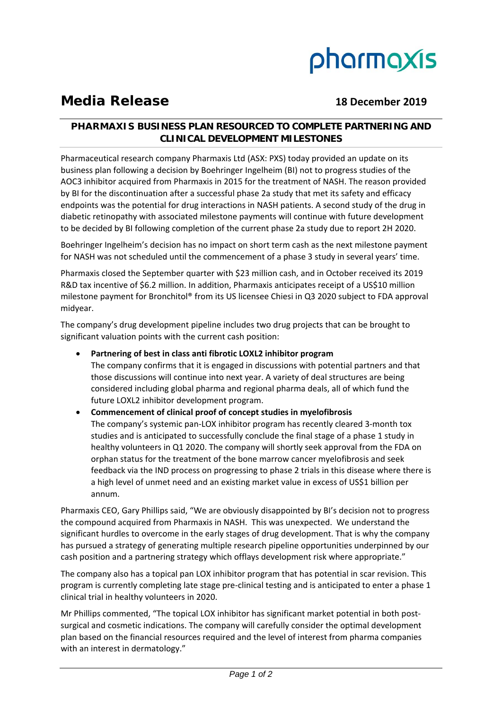

# **Media Release 18 December 2019**

## **PHARMAXIS BUSINESS PLAN RESOURCED TO COMPLETE PARTNERING AND CLINICAL DEVELOPMENT MILESTONES**

Pharmaceutical research company Pharmaxis Ltd (ASX: PXS) today provided an update on its business plan following a decision by Boehringer Ingelheim (BI) not to progress studies of the AOC3 inhibitor acquired from Pharmaxis in 2015 for the treatment of NASH. The reason provided by BI for the discontinuation after a successful phase 2a study that met its safety and efficacy endpoints was the potential for drug interactions in NASH patients. A second study of the drug in diabetic retinopathy with associated milestone payments will continue with future development to be decided by BI following completion of the current phase 2a study due to report 2H 2020.

Boehringer Ingelheim's decision has no impact on short term cash as the next milestone payment for NASH was not scheduled until the commencement of a phase 3 study in several years' time.

Pharmaxis closed the September quarter with \$23 million cash, and in October received its 2019 R&D tax incentive of \$6.2 million. In addition, Pharmaxis anticipates receipt of a US\$10 million milestone payment for Bronchitol® from its US licensee Chiesi in Q3 2020 subject to FDA approval midyear.

The company's drug development pipeline includes two drug projects that can be brought to significant valuation points with the current cash position:

- **Partnering of best in class anti fibrotic LOXL2 inhibitor program** The company confirms that it is engaged in discussions with potential partners and that those discussions will continue into next year. A variety of deal structures are being considered including global pharma and regional pharma deals, all of which fund the future LOXL2 inhibitor development program.
- **Commencement of clinical proof of concept studies in myelofibrosis** The company's systemic pan-LOX inhibitor program has recently cleared 3-month tox studies and is anticipated to successfully conclude the final stage of a phase 1 study in healthy volunteers in Q1 2020. The company will shortly seek approval from the FDA on orphan status for the treatment of the bone marrow cancer myelofibrosis and seek feedback via the IND process on progressing to phase 2 trials in this disease where there is a high level of unmet need and an existing market value in excess of US\$1 billion per annum.

Pharmaxis CEO, Gary Phillips said, "We are obviously disappointed by BI's decision not to progress the compound acquired from Pharmaxis in NASH. This was unexpected. We understand the significant hurdles to overcome in the early stages of drug development. That is why the company has pursued a strategy of generating multiple research pipeline opportunities underpinned by our cash position and a partnering strategy which offlays development risk where appropriate."

The company also has a topical pan LOX inhibitor program that has potential in scar revision. This program is currently completing late stage pre‐clinical testing and is anticipated to enter a phase 1 clinical trial in healthy volunteers in 2020.

Mr Phillips commented, "The topical LOX inhibitor has significant market potential in both postsurgical and cosmetic indications. The company will carefully consider the optimal development plan based on the financial resources required and the level of interest from pharma companies with an interest in dermatology."